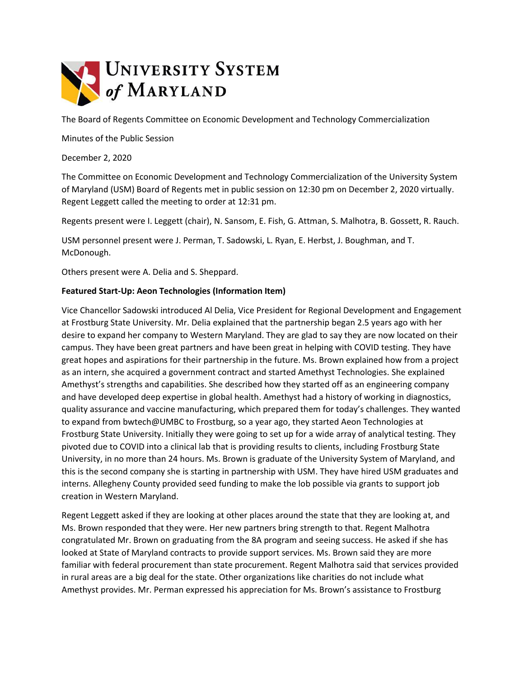

The Board of Regents Committee on Economic Development and Technology Commercialization

Minutes of the Public Session

December 2, 2020

The Committee on Economic Development and Technology Commercialization of the University System of Maryland (USM) Board of Regents met in public session on 12:30 pm on December 2, 2020 virtually. Regent Leggett called the meeting to order at 12:31 pm.

Regents present were I. Leggett (chair), N. Sansom, E. Fish, G. Attman, S. Malhotra, B. Gossett, R. Rauch.

USM personnel present were J. Perman, T. Sadowski, L. Ryan, E. Herbst, J. Boughman, and T. McDonough.

Others present were A. Delia and S. Sheppard.

## **Featured Start-Up: Aeon Technologies (Information Item)**

Vice Chancellor Sadowski introduced Al Delia, Vice President for Regional Development and Engagement at Frostburg State University. Mr. Delia explained that the partnership began 2.5 years ago with her desire to expand her company to Western Maryland. They are glad to say they are now located on their campus. They have been great partners and have been great in helping with COVID testing. They have great hopes and aspirations for their partnership in the future. Ms. Brown explained how from a project as an intern, she acquired a government contract and started Amethyst Technologies. She explained Amethyst's strengths and capabilities. She described how they started off as an engineering company and have developed deep expertise in global health. Amethyst had a history of working in diagnostics, quality assurance and vaccine manufacturing, which prepared them for today's challenges. They wanted to expand from bwtech@UMBC to Frostburg, so a year ago, they started Aeon Technologies at Frostburg State University. Initially they were going to set up for a wide array of analytical testing. They pivoted due to COVID into a clinical lab that is providing results to clients, including Frostburg State University, in no more than 24 hours. Ms. Brown is graduate of the University System of Maryland, and this is the second company she is starting in partnership with USM. They have hired USM graduates and interns. Allegheny County provided seed funding to make the lob possible via grants to support job creation in Western Maryland.

Regent Leggett asked if they are looking at other places around the state that they are looking at, and Ms. Brown responded that they were. Her new partners bring strength to that. Regent Malhotra congratulated Mr. Brown on graduating from the 8A program and seeing success. He asked if she has looked at State of Maryland contracts to provide support services. Ms. Brown said they are more familiar with federal procurement than state procurement. Regent Malhotra said that services provided in rural areas are a big deal for the state. Other organizations like charities do not include what Amethyst provides. Mr. Perman expressed his appreciation for Ms. Brown's assistance to Frostburg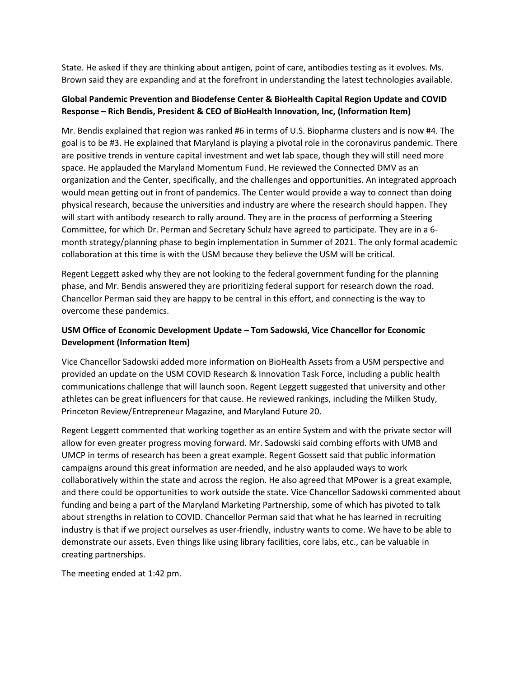State. He asked if they are thinking about antigen, point of care, antibodies testing as it evolves. Ms. Brown said they are expanding and at the forefront in understanding the latest technologies available.

## **Global Pandemic Prevention and Biodefense Center & BioHealth Capital Region Update and COVID Response – Rich Bendis, President & CEO of BioHealth Innovation, Inc, (Information Item)**

Mr. Bendis explained that region was ranked #6 in terms of U.S. Biopharma clusters and is now #4. The goal is to be #3. He explained that Maryland is playing a pivotal role in the coronavirus pandemic. There are positive trends in venture capital investment and wet lab space, though they will still need more space. He applauded the Maryland Momentum Fund. He reviewed the Connected DMV as an organization and the Center, specifically, and the challenges and opportunities. An integrated approach would mean getting out in front of pandemics. The Center would provide a way to connect than doing physical research, because the universities and industry are where the research should happen. They will start with antibody research to rally around. They are in the process of performing a Steering Committee, for which Dr. Perman and Secretary Schulz have agreed to participate. They are in a 6 month strategy/planning phase to begin implementation in Summer of 2021. The only formal academic collaboration at this time is with the USM because they believe the USM will be critical.

Regent Leggett asked why they are not looking to the federal government funding for the planning phase, and Mr. Bendis answered they are prioritizing federal support for research down the road. Chancellor Perman said they are happy to be central in this effort, and connecting is the way to overcome these pandemics.

## **USM Office of Economic Development Update – Tom Sadowski, Vice Chancellor for Economic Development (Information Item)**

Vice Chancellor Sadowski added more information on BioHealth Assets from a USM perspective and provided an update on the USM COVID Research & Innovation Task Force, including a public health communications challenge that will launch soon. Regent Leggett suggested that university and other athletes can be great influencers for that cause. He reviewed rankings, including the Milken Study, Princeton Review/Entrepreneur Magazine, and Maryland Future 20.

Regent Leggett commented that working together as an entire System and with the private sector will allow for even greater progress moving forward. Mr. Sadowski said combing efforts with UMB and UMCP in terms of research has been a great example. Regent Gossett said that public information campaigns around this great information are needed, and he also applauded ways to work collaboratively within the state and across the region. He also agreed that MPower is a great example, and there could be opportunities to work outside the state. Vice Chancellor Sadowski commented about funding and being a part of the Maryland Marketing Partnership, some of which has pivoted to talk about strengths in relation to COVID. Chancellor Perman said that what he has learned in recruiting industry is that if we project ourselves as user-friendly, industry wants to come. We have to be able to demonstrate our assets. Even things like using library facilities, core labs, etc., can be valuable in creating partnerships.

The meeting ended at 1:42 pm.